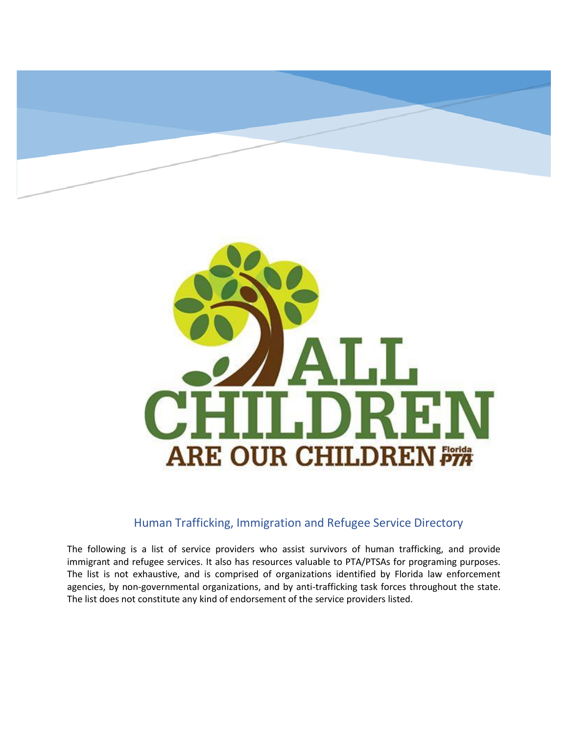

## Human Trafficking, Immigration and Refugee Service Directory

The following is a list of service providers who assist survivors of human trafficking, and provide immigrant and refugee services. It also has resources valuable to PTA/PTSAs for programing purposes. The list is not exhaustive, and is comprised of organizations identified by Florida law enforcement agencies, by non-governmental organizations, and by anti-trafficking task forces throughout the state. The list does not constitute any kind of endorsement of the service providers listed.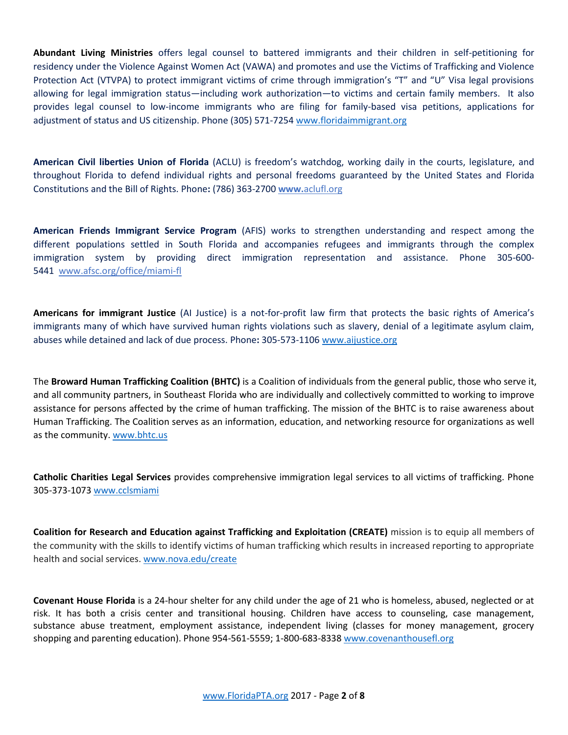**Abundant Living Ministries** offers legal counsel to battered immigrants and their children in self-petitioning for residency under the Violence Against Women Act (VAWA) and promotes and use the Victims of Trafficking and Violence Protection Act (VTVPA) to protect immigrant victims of crime through immigration's "T" and "U" Visa legal provisions allowing for legal immigration status—including work authorization—to victims and certain family members. It also provides legal counsel to low-income immigrants who are filing for family-based visa petitions, applications for adjustment of status and US citizenship. Phone (305) 571-7254 [www.floridaimmigrant.org](http://www.floridaimmigrant.org/)

**American Civil liberties Union of Florida** (ACLU) is freedom's watchdog, working daily in the courts, legislature, and throughout Florida to defend individual rights and personal freedoms guaranteed by the United States and Florida Constitutions and the Bill of Rights. Phone**:** (786) 363-2700 **www.**[aclufl.org](http://aclufl.org/)

**American Friends Immigrant Service Program** (AFIS) works to strengthen understanding and respect among the different populations settled in South Florida and accompanies refugees and immigrants through the complex immigration system by providing direct immigration representation and assistance. Phone 305-600- 5441 [www.afsc.org/office/miami-fl](http://www.afsc.org/office/miami-fl)

**Americans for immigrant Justice** (AI Justice) is a not-for-profit law firm that protects the basic rights of America's immigrants many of which have survived human rights violations such as slavery, denial of a legitimate asylum claim, abuses while detained and lack of due process. Phone**:** 305-573-1106 [www.aijustice.org](http://www.aijustice.org/)

The **Broward Human Trafficking Coalition (BHTC)** is a Coalition of individuals from the general public, those who serve it, and all community partners, in Southeast Florida who are individually and collectively committed to working to improve assistance for persons affected by the crime of human trafficking. The mission of the BHTC is to raise awareness about Human Trafficking. The Coalition serves as an information, education, and networking resource for organizations as well as the community. [www.bhtc.us](http://www.bhtc.us/)

**Catholic Charities Legal Services** provides comprehensive immigration legal services to all victims of trafficking. Phone 305-373-1073 [www.cclsmiami](http://www.cclsmiami/)

**Coalition for Research and Education against Trafficking and Exploitation (CREATE)** mission is to equip all members of the community with the skills to identify victims of human trafficking which results in increased reporting to appropriate health and social services. [www.nova.edu/create](http://www.nova.edu/create)

**Covenant House Florida** is a 24-hour shelter for any child under the age of 21 who is homeless, abused, neglected or at risk. It has both a crisis center and transitional housing. Children have access to counseling, case management, substance abuse treatment, employment assistance, independent living (classes for money management, grocery shopping and parenting education). Phone 954-561-5559; 1-800-683-833[8 www.covenanthousefl.org](http://www.covenanthousefl.org/)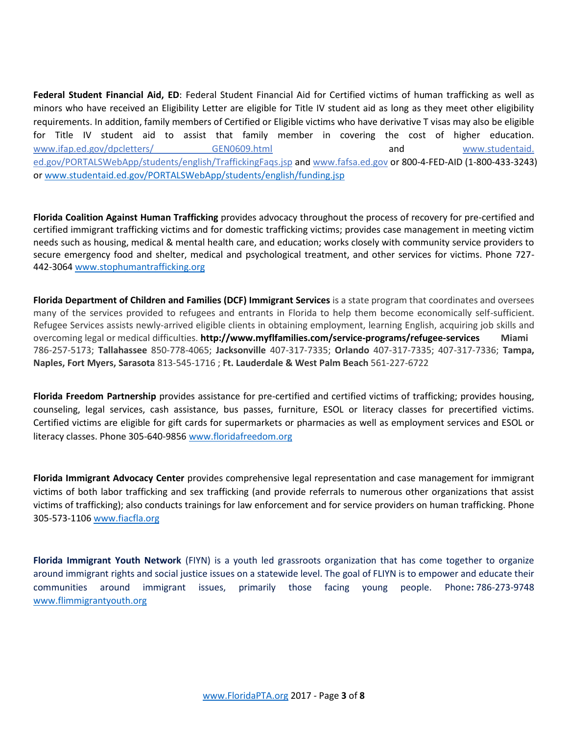**Federal Student Financial Aid, ED**: Federal Student Financial Aid for Certified victims of human trafficking as well as minors who have received an Eligibility Letter are eligible for Title IV student aid as long as they meet other eligibility requirements. In addition, family members of Certified or Eligible victims who have derivative T visas may also be eligible for Title IV student aid to assist that family member in covering the cost of higher education. www.ifap.ed.gov/dpcletters/ GEN0609.html and www.studentaid. ed.gov/PORTALSWebApp/students/english/TraffickingFaqs.jsp and www.fafsa.ed.gov or 800-4-FED-AID (1-800-433-3243) or [www.studentaid.ed.gov/PORTALSWebApp/students/english/funding.jsp](http://www.studentaid.ed.gov/PORTALSWebApp/students/english/funding.jsp)

**Florida Coalition Against Human Trafficking** provides advocacy throughout the process of recovery for pre-certified and certified immigrant trafficking victims and for domestic trafficking victims; provides case management in meeting victim needs such as housing, medical & mental health care, and education; works closely with community service providers to secure emergency food and shelter, medical and psychological treatment, and other services for victims. Phone 727- 442-3064 [www.stophumantrafficking.org](http://www.stophumantrafficking.org/)

**Florida Department of Children and Families (DCF) Immigrant Services** is a state program that coordinates and oversees many of the services provided to refugees and entrants in Florida to help them become economically self-sufficient. Refugee Services assists newly-arrived eligible clients in obtaining employment, learning English, acquiring job skills and overcoming legal or medical difficulties. **<http://www.myflfamilies.com/service-programs/refugee-services> Miami** 786-257-5173; **Tallahassee** 850-778-4065; **Jacksonville** 407-317-7335; **Orlando** 407-317-7335; 407-317-7336; **Tampa, Naples, Fort Myers, Sarasota** 813-545-1716 ; **Ft. Lauderdale & West Palm Beach** 561-227-6722

**Florida Freedom Partnership** provides assistance for pre-certified and certified victims of trafficking; provides housing, counseling, legal services, cash assistance, bus passes, furniture, ESOL or literacy classes for precertified victims. Certified victims are eligible for gift cards for supermarkets or pharmacies as well as employment services and ESOL or literacy classes. Phone 305-640-985[6 www.floridafreedom.org](http://www.floridafreedom.org/)

**Florida Immigrant Advocacy Center** provides comprehensive legal representation and case management for immigrant victims of both labor trafficking and sex trafficking (and provide referrals to numerous other organizations that assist victims of trafficking); also conducts trainings for law enforcement and for service providers on human trafficking. Phone 305-573-1106 [www.fiacfla.org](http://www.fiacfla.org/)

**Florida Immigrant Youth Network** (FIYN) is a youth led grassroots organization that has come together to organize around immigrant rights and social justice issues on a statewide level. The goal of FLIYN is to empower and educate their communities around immigrant issues, primarily those facing young people. Phone**:** 786-273-9748 [www.flimmigrantyouth.org](http://www.flimmigrantyouth.org/)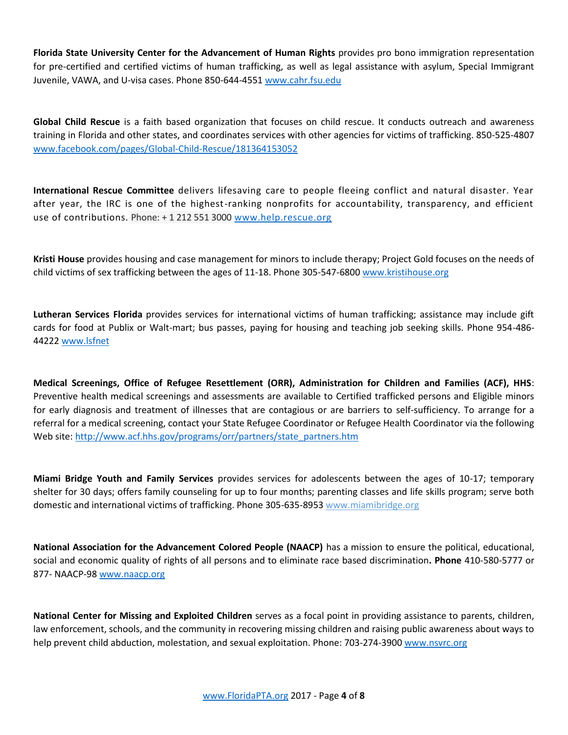**Florida State University Center for the Advancement of Human Rights** provides pro bono immigration representation for pre-certified and certified victims of human trafficking, as well as legal assistance with asylum, Special Immigrant Juvenile, VAWA, and U-visa cases. Phone 850-644-4551 [www.cahr.fsu.edu](http://www.cahr.fsu.edu/)

**Global Child Rescue** is a faith based organization that focuses on child rescue. It conducts outreach and awareness training in Florida and other states, and coordinates services with other agencies for victims of trafficking. 850-525-4807 [www.facebook.com/pages/Global-Child-Rescue/181364153052](http://www.facebook.com/pages/Global-Child-Rescue/181364153052)

**International Rescue Committee** delivers lifesaving care to people fleeing conflict and natural disaster. Year after year, the IRC is one of the highest-ranking nonprofits for accountability, transparency, and efficient use of contributions. Phone: + 1 212 551 3000 [www.help.rescue.org](http://www.help.rescue.org/)

**Kristi House** provides housing and case management for minors to include therapy; Project Gold focuses on the needs of child victims of sex trafficking between the ages of 11-18. Phone 305-547-680[0 www.kristihouse.org](http://www.kristihouse.org/)

**Lutheran Services Florida** provides services for international victims of human trafficking; assistance may include gift cards for food at Publix or Walt-mart; bus passes, paying for housing and teaching job seeking skills. Phone 954-486- 44222 [www.lsfnet](http://www.lsfnet/)

**Medical Screenings, Office of Refugee Resettlement (ORR), Administration for Children and Families (ACF), HHS**: Preventive health medical screenings and assessments are available to Certified trafficked persons and Eligible minors for early diagnosis and treatment of illnesses that are contagious or are barriers to self-sufficiency. To arrange for a referral for a medical screening, contact your State Refugee Coordinator or Refugee Health Coordinator via the following Web site: [http://www.acf.hhs.gov/programs/orr/partners/state\\_partners.htm](http://www.acf.hhs.gov/programs/orr/partners/state_partners.htm)

**Miami Bridge Youth and Family Services** provides services for adolescents between the ages of 10-17; temporary shelter for 30 days; offers family counseling for up to four months; parenting classes and life skills program; serve both domestic and international victims of trafficking. Phone 305-635-8953 www.miamibridge.org

**National Association for the Advancement Colored People (NAACP)** has a mission to ensure the political, educational, social and economic quality of rights of all persons and to eliminate race based discrimination**. Phone** 410-580-5777 or 877- NAACP-98 [www.naacp.org](http://www.naacp.org/)

**National Center for Missing and Exploited Children** serves as a focal point in providing assistance to parents, children, law enforcement, schools, and the community in recovering missing children and raising public awareness about ways to help prevent child abduction, molestation, and sexual exploitation. Phone: 703-274-3900 [www.nsvrc.org](http://www.nsvrc.org/)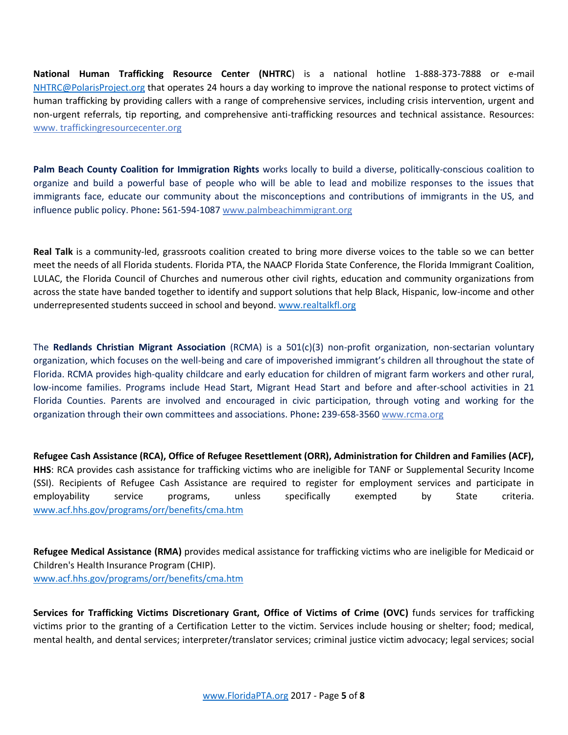**National Human Trafficking Resource Center (NHTRC**) is a national hotline 1-888-373-7888 or e-mail [NHTRC@PolarisProject.org](mailto:NHTRC@PolarisProject.org) that operates 24 hours a day working to improve the national response to protect victims of human trafficking by providing callers with a range of comprehensive services, including crisis intervention, urgent and non-urgent referrals, tip reporting, and comprehensive anti-trafficking resources and technical assistance. Resources: www. traffickingresourcecenter.org

**Palm Beach County Coalition for Immigration Rights** works locally to build a diverse, politically-conscious coalition to organize and build a powerful base of people who will be able to lead and mobilize responses to the issues that immigrants face, educate our community about the misconceptions and contributions of immigrants in the US, and influence public policy. Phone**:** 561-594-1087 [www.palmbeachimmigrant.org](http://www.palmbeachimmigrant.org/)

**Real Talk** is a community-led, grassroots coalition created to bring more diverse voices to the table so we can better meet the needs of all Florida students. Florida PTA, the NAACP Florida State Conference, the Florida Immigrant Coalition, LULAC, the Florida Council of Churches and numerous other civil rights, education and community organizations from across the state have banded together to identify and support solutions that help Black, Hispanic, low-income and other underrepresented students succeed in school and beyond. [www.realtalkfl.org](http://www.realtalkfl.org/)

The **Redlands Christian Migrant Association** (RCMA) is a 501(c)(3) non-profit organization, non-sectarian voluntary organization, which focuses on the well-being and care of impoverished immigrant's children all throughout the state of Florida. RCMA provides high-quality childcare and early education for children of migrant farm workers and other rural, low-income families. Programs include Head Start, Migrant Head Start and before and after-school activities in 21 Florida Counties. Parents are involved and encouraged in civic participation, through voting and working for the organization through their own committees and associations. Phone**:** 239-658-3560 [www.rcma.org](http://www.rcma.org/)

**Refugee Cash Assistance (RCA), Office of Refugee Resettlement (ORR), Administration for Children and Families (ACF), HHS**: RCA provides cash assistance for trafficking victims who are ineligible for TANF or Supplemental Security Income (SSI). Recipients of Refugee Cash Assistance are required to register for employment services and participate in employability service programs, unless specifically exempted by State criteria. [www.acf.hhs.gov/programs/orr/benefits/cma.htm](http://www.acf.hhs.gov/programs/orr/benefits/cma.htm)

**Refugee Medical Assistance (RMA)** provides medical assistance for trafficking victims who are ineligible for Medicaid or Children's Health Insurance Program (CHIP). [www.acf.hhs.gov/programs/orr/benefits/cma.htm](http://www.acf.hhs.gov/programs/orr/benefits/cma.htm)

**Services for Trafficking Victims Discretionary Grant, Office of Victims of Crime (OVC)** funds services for trafficking victims prior to the granting of a Certification Letter to the victim. Services include housing or shelter; food; medical, mental health, and dental services; interpreter/translator services; criminal justice victim advocacy; legal services; social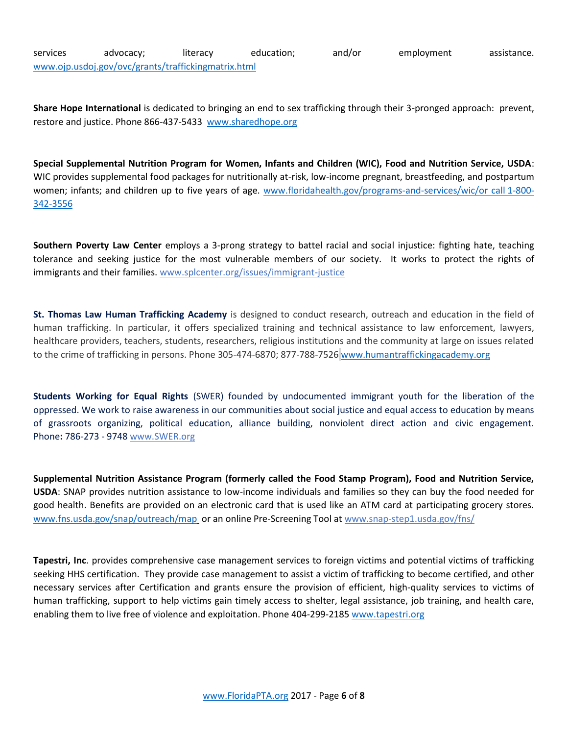services advocacy; literacy education; and/or employment assistance. [www.ojp.usdoj.gov/ovc/grants/traffickingmatrix.html](http://www.ojp.usdoj.gov/ovc/grants/traffickingmatrix.html)

**Share Hope International** is dedicated to bringing an end to sex trafficking through their 3-pronged approach: prevent, restore and justice. Phone 866-437-5433 [www.sharedhope.org](http://www.sharedhope.org/)

**Special Supplemental Nutrition Program for Women, Infants and Children (WIC), Food and Nutrition Service, USDA**: WIC provides supplemental food packages for nutritionally at-risk, low-income pregnant, breastfeeding, and postpartum women; infants; and children up to five years of age. [www.floridahealth.gov/programs-and-services/wic/or call](http://www.floridahealth.gov/programs-and-services/wic/or%20call 1-800-342-3556) 1-800-[342-3556](http://www.floridahealth.gov/programs-and-services/wic/or%20call 1-800-342-3556)

**Southern Poverty Law Center** employs a 3-prong strategy to battel racial and social injustice: fighting hate, teaching tolerance and seeking justice for the most vulnerable members of our society. It works to protect the rights of immigrants and their families. [www.splcenter.org/issues/immigrant-justice](http://www.splcenter.org/issues/immigrant-justice)

**St. Thomas Law Human Trafficking Academy** is designed to conduct research, outreach and education in the field of human trafficking. In particular, it offers specialized training and technical assistance to law enforcement, lawyers, healthcare providers, teachers, students, researchers, religious institutions and the community at large on issues related to the crime of trafficking in persons. Phone 305-474-6870; 877-788-7526 [www.humantraffickingacademy.org](http://www.humantraffickingacademy.org/)

**Students Working for Equal Rights** (SWER) founded by undocumented immigrant youth for the liberation of the oppressed. We work to raise awareness in our communities about social justice and equal access to education by means of grassroots organizing, political education, alliance building, nonviolent direct action and civic engagement. Phone**:** 786-273 - 9748 [www.SWER.org](http://www.swer.org/)

**Supplemental Nutrition Assistance Program (formerly called the Food Stamp Program), Food and Nutrition Service, USDA**: SNAP provides nutrition assistance to low-income individuals and families so they can buy the food needed for good health. Benefits are provided on an electronic card that is used like an ATM card at participating grocery stores. [www.fns.usda.gov/snap/outreach/map](http://www.fns.usda.gov/snap/outreach/map) or an online Pre-Screening Tool at www.snap-step1.usda.gov/fns/

**Tapestri, Inc**. provides comprehensive case management services to foreign victims and potential victims of trafficking seeking HHS certification. They provide case management to assist a victim of trafficking to become certified, and other necessary services after Certification and grants ensure the provision of efficient, high-quality services to victims of human trafficking, support to help victims gain timely access to shelter, legal assistance, job training, and health care, enabling them to live free of violence and exploitation. Phone 404-299-2185 [www.tapestri.org](http://www.tapestri.org/)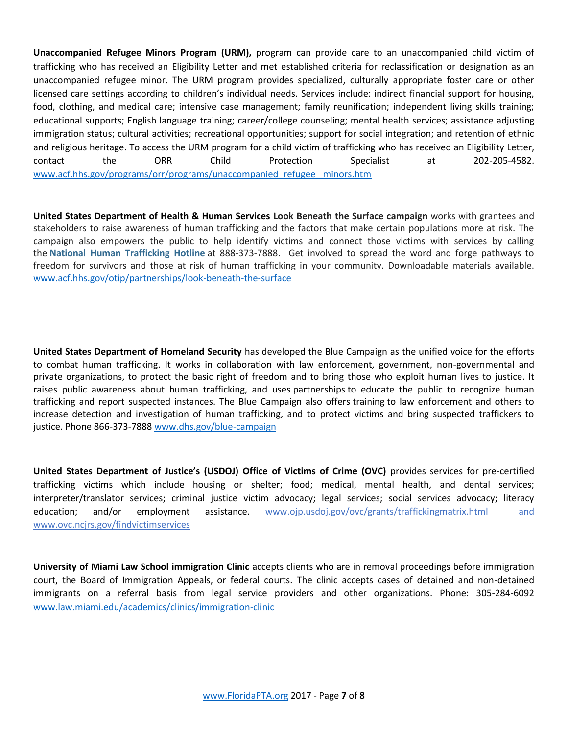**Unaccompanied Refugee Minors Program (URM),** program can provide care to an unaccompanied child victim of trafficking who has received an Eligibility Letter and met established criteria for reclassification or designation as an unaccompanied refugee minor. The URM program provides specialized, culturally appropriate foster care or other licensed care settings according to children's individual needs. Services include: indirect financial support for housing, food, clothing, and medical care; intensive case management; family reunification; independent living skills training; educational supports; English language training; career/college counseling; mental health services; assistance adjusting immigration status; cultural activities; recreational opportunities; support for social integration; and retention of ethnic and religious heritage. To access the URM program for a child victim of trafficking who has received an Eligibility Letter, contact the ORR Child Protection Specialist at 202-205-4582. [www.acf.hhs.gov/programs/orr/programs/unaccompanied\\_refugee\\_ minors.htm](http://www.acf.hhs.gov/programs/orr/programs/unaccompanied_refugee_%20minors.htm)

**United States Department of Health & Human Services Look Beneath the Surface campaign** works with grantees and stakeholders to raise awareness of human trafficking and the factors that make certain populations more at risk. The campaign also empowers the public to help identify victims and connect those victims with services by calling the **National Human [Trafficking](https://humantraffickinghotline.org/) Hotline** at 888-373-7888. Get involved to spread the word and forge pathways to freedom for survivors and those at risk of human trafficking in your community. Downloadable materials available. [www.acf.hhs.gov/otip/partnerships/look-beneath-the-surface](http://www.acf.hhs.gov/otip/partnerships/look-beneath-the-surface)

**United States Department of Homeland Security** has developed the Blue Campaign as the unified voice for the efforts to combat human trafficking. It works in collaboration with law enforcement, government, non-governmental and private organizations, to protect the basic right of freedom and to bring those who exploit human lives to justice. It raises public awareness about human trafficking, and uses [partnerships](https://www.dhs.gov/blue-campaign/partnerships) to educate the public to recognize human trafficking and report suspected instances. The Blue Campaign also offers [training](https://www.dhs.gov/blue-campaign/awareness-training) to law enforcement and others to increase detection and investigation of human trafficking, and to protect victims and bring suspected traffickers to justice. Phone 866-373-7888 [www.dhs.gov/blue-campaign](http://www.dhs.gov/blue-campaign)

**United States Department of Justice's (USDOJ) Office of Victims of Crime (OVC)** provides services for pre-certified trafficking victims which include housing or shelter; food; medical, mental health, and dental services; interpreter/translator services; criminal justice victim advocacy; legal services; social services advocacy; literacy education; and/or employment assistance. www.ojp.usdoj.gov/ovc/grants/traffickingmatrix.html and www.ovc.ncjrs.gov/findvictimservices

**University of Miami Law School immigration Clinic** accepts clients who are in removal proceedings before immigration court, the Board of Immigration Appeals, or federal courts. The clinic accepts cases of detained and non-detained immigrants on a referral basis from legal service providers and other organizations. Phone: 305-284-6092 [www.law.miami.edu/academics/clinics/immigration-clinic](http://www.law.miami.edu/academics/clinics/immigration-clinic)